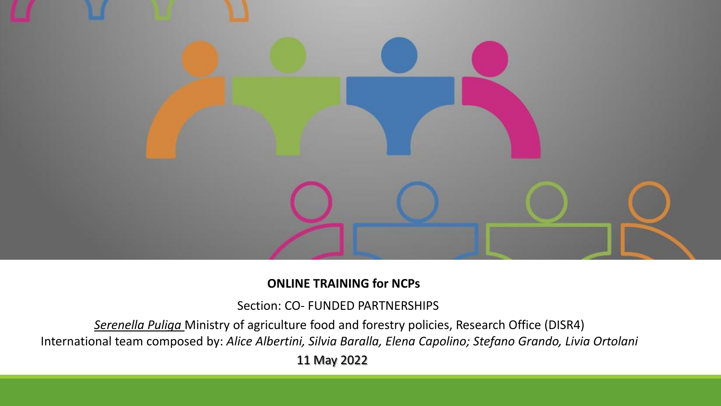

#### **ONLINE TRAINING for NCPs**

Section: CO- FUNDED PARTNERSHIPS

*Serenella Puliga* Ministry of agriculture food and forestry policies, Research Office (DISR4) International team composed by: *Alice Albertini, Silvia Baralla, Elena Capolino; Stefano Grando, Livia Ortolani*

11 May 2022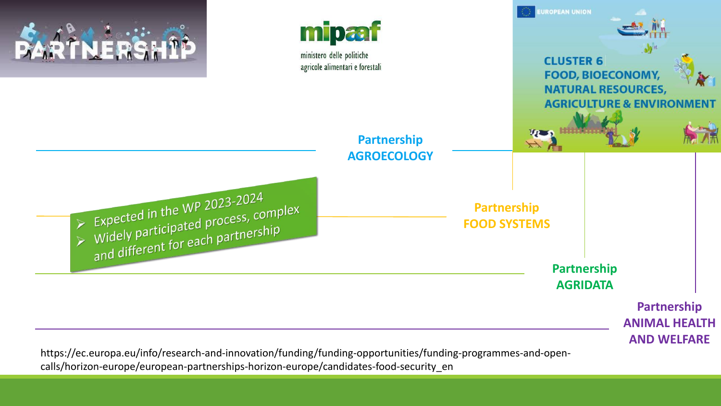

calls/horizon-europe/european-partnerships-horizon-europe/candidates-food-security\_en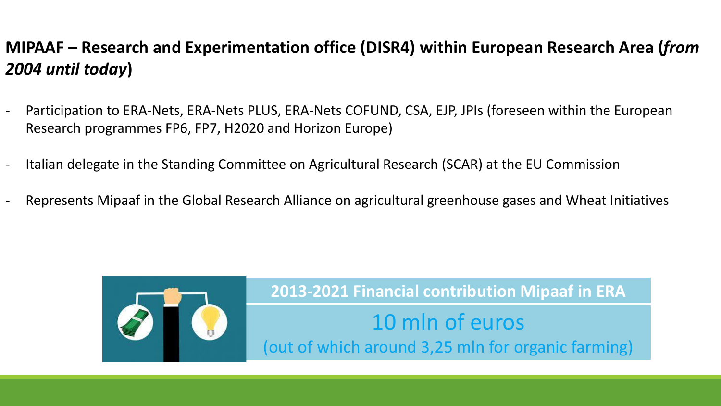### **MIPAAF – Research and Experimentation office (DISR4) within European Research Area (***from 2004 until today***)**

- Participation to ERA-Nets, ERA-Nets PLUS, ERA-Nets COFUND, CSA, EJP, JPIs (foreseen within the European Research programmes FP6, FP7, H2020 and Horizon Europe)
- Italian delegate in the Standing Committee on Agricultural Research (SCAR) at the EU Commission
- Represents Mipaaf in the Global Research Alliance on agricultural greenhouse gases and Wheat Initiatives



**2013-2021 Financial contribution Mipaaf in ERA** 10 mln of euros (out of which around 3,25 mln for organic farming)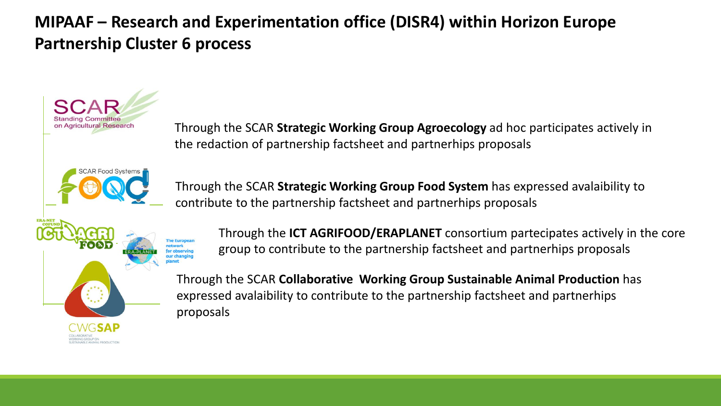### **MIPAAF – Research and Experimentation office (DISR4) within Horizon Europe Partnership Cluster 6 process**

on Agricultural Research

Through the SCAR **Strategic Working Group Agroecology** ad hoc participates actively in the redaction of partnership factsheet and partnerhips proposals

Through the SCAR **Strategic Working Group Food System** has expressed avalaibility to contribute to the partnership factsheet and partnerhips proposals

Through the **ICT AGRIFOOD/ERAPLANET** consortium partecipates actively in the core group to contribute to the partnership factsheet and partnerhips proposals

Through the SCAR **Collaborative Working Group Sustainable Animal Production** has expressed avalaibility to contribute to the partnership factsheet and partnerhips proposals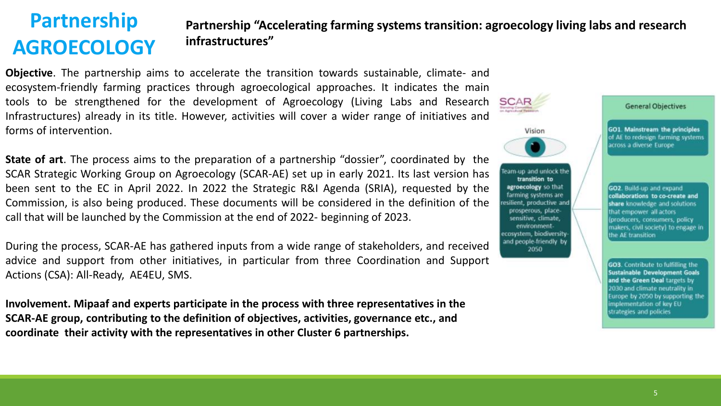## **Partnership AGROECOLOGY**

#### **Partnership "Accelerating farming systems transition: agroecology living labs and research infrastructures"**

**Objective**. The partnership aims to accelerate the transition towards sustainable, climate- and ecosystem-friendly farming practices through agroecological approaches. It indicates the main tools to be strengthened for the development of Agroecology (Living Labs and Research SCAR Infrastructures) already in its title. However, activities will cover a wider range of initiatives and forms of intervention.

**State of art**. The process aims to the preparation of a partnership "dossier", coordinated by the SCAR Strategic Working Group on Agroecology (SCAR-AE) set up in early 2021. Its last version has been sent to the EC in April 2022. In 2022 the Strategic R&I Agenda (SRIA), requested by the Commission, is also being produced. These documents will be considered in the definition of the call that will be launched by the Commission at the end of 2022- beginning of 2023.

During the process, SCAR-AE has gathered inputs from a wide range of stakeholders, and received advice and support from other initiatives, in particular from three Coordination and Support Actions (CSA): All-Ready, AE4EU, SMS.

**Involvement. Mipaaf and experts participate in the process with three representatives in the SCAR-AE group, contributing to the definition of objectives, activities, governance etc., and coordinate their activity with the representatives in other Cluster 6 partnerships.** 

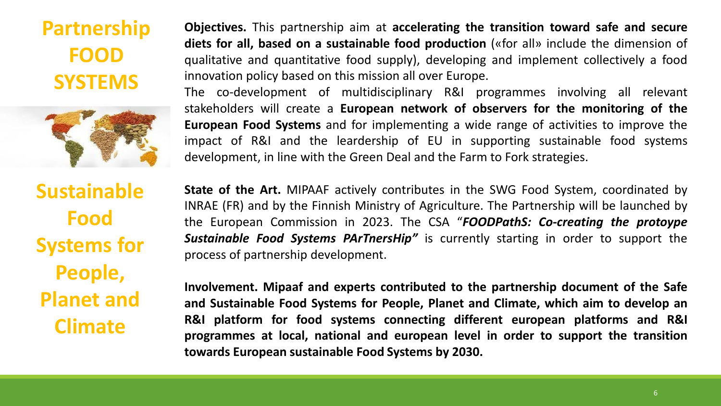**Partnership FOOD SYSTEMS**



**Sustainable Food Systems for People, Planet and Climate**

**Objectives.** This partnership aim at **accelerating the transition toward safe and secure diets for all, based on a sustainable food production** («for all» include the dimension of qualitative and quantitative food supply), developing and implement collectively a food innovation policy based on this mission all over Europe.

The co-development of multidisciplinary R&I programmes involving all relevant stakeholders will create a **European network of observers for the monitoring of the European Food Systems** and for implementing a wide range of activities to improve the impact of R&I and the leardership of EU in supporting sustainable food systems development, in line with the Green Deal and the Farm to Fork strategies.

**State of the Art.** MIPAAF actively contributes in the SWG Food System, coordinated by INRAE (FR) and by the Finnish Ministry of Agriculture. The Partnership will be launched by the European Commission in 2023. The CSA "*FOODPathS: Co-creating the protoype Sustainable Food Systems PArTnersHip"* is currently starting in order to support the process of partnership development.

**Involvement. Mipaaf and experts contributed to the partnership document of the Safe and Sustainable Food Systems for People, Planet and Climate, which aim to develop an R&I platform for food systems connecting different european platforms and R&I programmes at local, national and european level in order to support the transition towards European sustainable Food Systems by 2030.**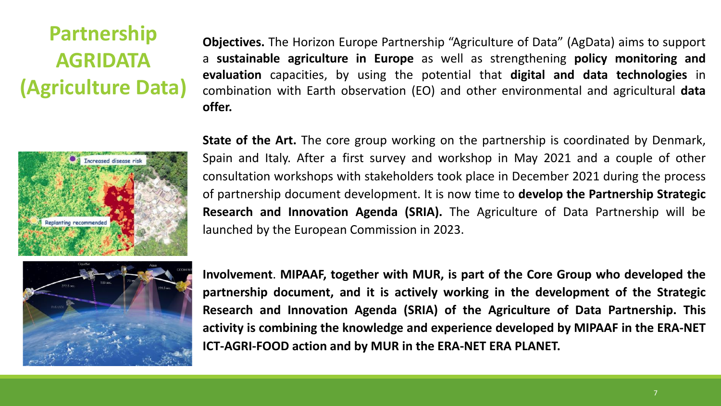# **Partnership AGRIDATA (Agriculture Data)**

**Objectives.** The Horizon Europe Partnership "Agriculture of Data" (AgData) aims to support a **sustainable agriculture in Europe** as well as strengthening **policy monitoring and evaluation** capacities, by using the potential that **digital and data technologies** in combination with Earth observation (EO) and other environmental and agricultural **data offer.**



**State of the Art.** The core group working on the partnership is coordinated by Denmark, Spain and Italy. After a first survey and workshop in May 2021 and a couple of other consultation workshops with stakeholders took place in December 2021 during the process of partnership document development. It is now time to **develop the Partnership Strategic Research and Innovation Agenda (SRIA).** The Agriculture of Data Partnership will be launched by the European Commission in 2023.



**Involvement**. **MIPAAF, together with MUR, is part of the Core Group who developed the partnership document, and it is actively working in the development of the Strategic Research and Innovation Agenda (SRIA) of the Agriculture of Data Partnership. This activity is combining the knowledge and experience developed by MIPAAF in the ERA-NET ICT-AGRI-FOOD action and by MUR in the ERA-NET ERA PLANET.**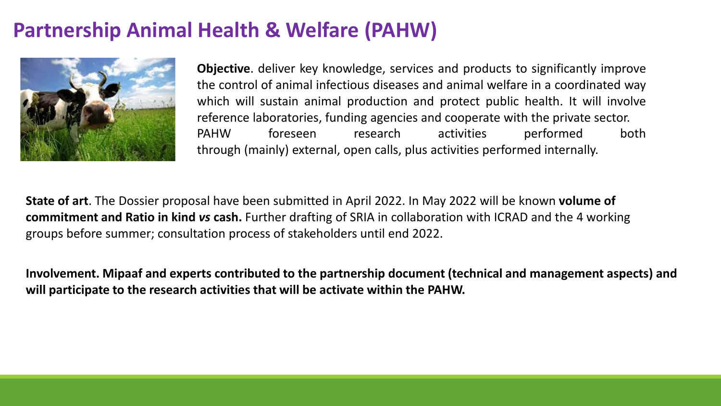## **Partnership Animal Health & Welfare (PAHW)**



**Objective**. deliver key knowledge, services and products to significantly improve the control of animal infectious diseases and animal welfare in a coordinated way which will sustain animal production and protect public health. It will involve reference laboratories, funding agencies and cooperate with the private sector. PAHW foreseen research activities performed both through (mainly) external, open calls, plus activities performed internally.

**State of art**. The Dossier proposal have been submitted in April 2022. In May 2022 will be known **volume of commitment and Ratio in kind** *vs* **cash.** Further drafting of SRIA in collaboration with ICRAD and the 4 working groups before summer; consultation process of stakeholders until end 2022.

**Involvement. Mipaaf and experts contributed to the partnership document (technical and management aspects) and will participate to the research activities that will be activate within the PAHW.**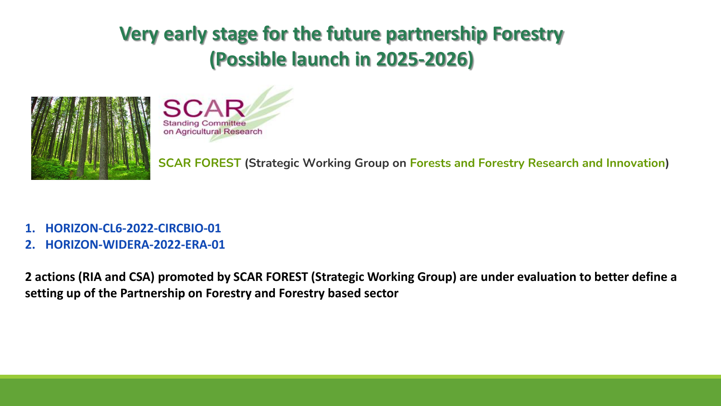## **Very early stage for the future partnership Forestry (Possible launch in 2025-2026)**





**SCAR FOREST (Strategic Working Group on Forests and Forestry Research and Innovation)**

- **1. HORIZON-CL6-2022-CIRCBIO-01**
- **2. HORIZON-WIDERA-2022-ERA-01**

**2 actions (RIA and CSA) promoted by SCAR FOREST (Strategic Working Group) are under evaluation to better define a setting up of the Partnership on Forestry and Forestry based sector**